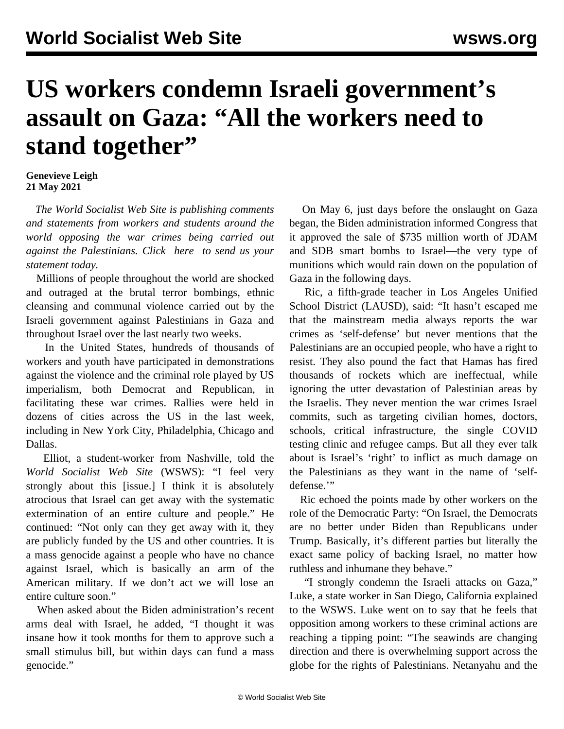## **US workers condemn Israeli government's assault on Gaza: "All the workers need to stand together"**

## **Genevieve Leigh 21 May 2021**

 *The World Socialist Web Site is publishing comments and statements from workers and students around the world opposing the war crimes being carried out against the Palestinians. Click [here](/en/special/pages/contact.html) to send us your statement today.*

 Millions of people throughout the world are shocked and outraged at the brutal terror bombings, ethnic cleansing and communal violence carried out by the Israeli government against Palestinians in Gaza and throughout Israel over the last nearly two weeks.

 In the United States, hundreds of thousands of workers and youth have participated in demonstrations against the violence and the criminal role played by US imperialism, both Democrat and Republican, in facilitating these war crimes. Rallies were held in dozens of cities across the US in the last week, including in New York City, Philadelphia, Chicago and Dallas.

 Elliot, a student-worker from Nashville, told the *World Socialist Web Site* (WSWS): "I feel very strongly about this [issue.] I think it is absolutely atrocious that Israel can get away with the systematic extermination of an entire culture and people." He continued: "Not only can they get away with it, they are publicly funded by the US and other countries. It is a mass genocide against a people who have no chance against Israel, which is basically an arm of the American military. If we don't act we will lose an entire culture soon."

 When asked about the Biden administration's recent arms deal with Israel, he added, "I thought it was insane how it took months for them to approve such a small stimulus bill, but within days can fund a mass genocide."

 On May 6, just days before the onslaught on Gaza began, the Biden administration informed Congress that it approved the sale of \$735 million worth of JDAM and SDB smart bombs to Israel—the very type of munitions which would rain down on the population of Gaza in the following days.

 Ric, a fifth-grade teacher in Los Angeles Unified School District (LAUSD), said: "It hasn't escaped me that the mainstream media always reports the war crimes as 'self-defense' but never mentions that the Palestinians are an occupied people, who have a right to resist. They also pound the fact that Hamas has fired thousands of rockets which are ineffectual, while ignoring the utter devastation of Palestinian areas by the Israelis. They never mention the war crimes Israel commits, such as targeting civilian homes, doctors, schools, critical infrastructure, the single COVID testing clinic and refugee camps. But all they ever talk about is Israel's 'right' to inflict as much damage on the Palestinians as they want in the name of 'selfdefense."

 Ric echoed the points made by other workers on the role of the Democratic Party: "On Israel, the Democrats are no better under Biden than Republicans under Trump. Basically, it's different parties but literally the exact same policy of backing Israel, no matter how ruthless and inhumane they behave."

 "I strongly condemn the Israeli attacks on Gaza," Luke, a state worker in San Diego, California explained to the WSWS. Luke went on to say that he feels that opposition among workers to these criminal actions are reaching a tipping point: "The seawinds are changing direction and there is overwhelming support across the globe for the rights of Palestinians. Netanyahu and the